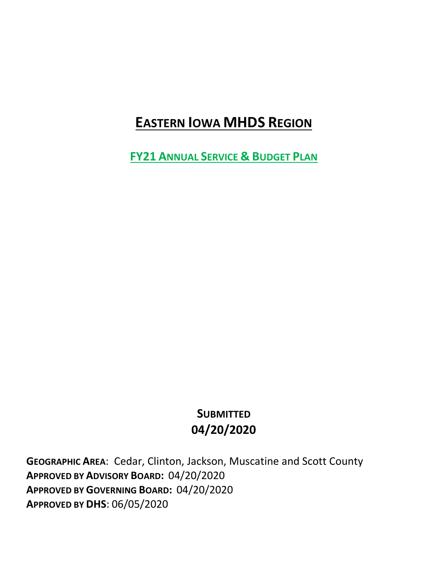# **EASTERN IOWA MHDS REGION**

**FY21 ANNUAL SERVICE & BUDGET PLAN**

# **SUBMITTED 04/20/2020**

**GEOGRAPHIC AREA**: Cedar, Clinton, Jackson, Muscatine and Scott County **APPROVED BY ADVISORY BOARD:** 04/20/2020 **APPROVED BY GOVERNING BOARD:** 04/20/2020 **APPROVED BY DHS**: 06/05/2020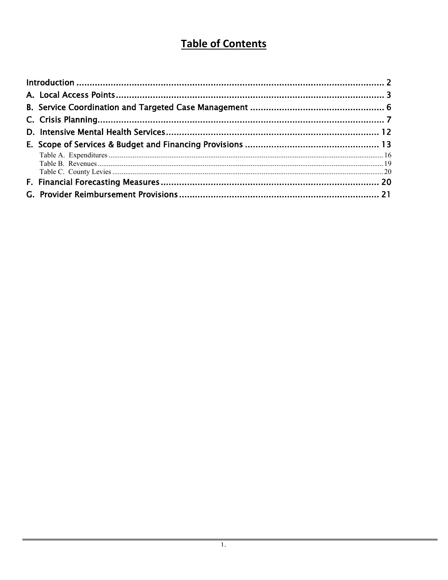# **Table of Contents**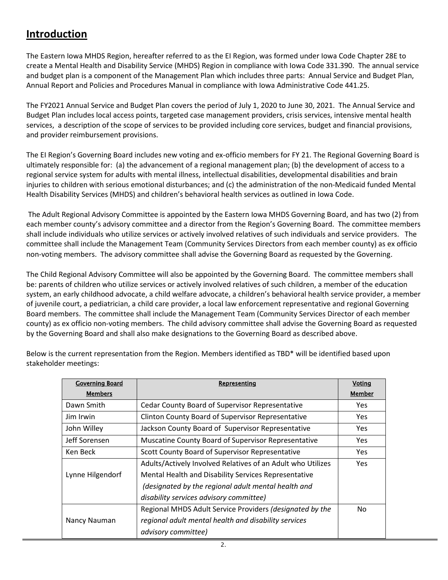## <span id="page-2-0"></span>**Introduction**

The Eastern Iowa MHDS Region, hereafter referred to as the EI Region, was formed under Iowa Code Chapter 28E to create a Mental Health and Disability Service (MHDS) Region in compliance with Iowa Code 331.390. The annual service and budget plan is a component of the Management Plan which includes three parts: Annual Service and Budget Plan, Annual Report and Policies and Procedures Manual in compliance with Iowa Administrative Code 441.25.

The FY2021 Annual Service and Budget Plan covers the period of July 1, 2020 to June 30, 2021. The Annual Service and Budget Plan includes local access points, targeted case management providers, crisis services, intensive mental health services, a description of the scope of services to be provided including core services, budget and financial provisions, and provider reimbursement provisions.

The EI Region's Governing Board includes new voting and ex-officio members for FY 21. The Regional Governing Board is ultimately responsible for: (a) the advancement of a regional management plan; (b) the development of access to a regional service system for adults with mental illness, intellectual disabilities, developmental disabilities and brain injuries to children with serious emotional disturbances; and (c) the administration of the non-Medicaid funded Mental Health Disability Services (MHDS) and children's behavioral health services as outlined in Iowa Code.

The Adult Regional Advisory Committee is appointed by the Eastern Iowa MHDS Governing Board, and has two (2) from each member county's advisory committee and a director from the Region's Governing Board. The committee members shall include individuals who utilize services or actively involved relatives of such individuals and service providers. The committee shall include the Management Team (Community Services Directors from each member county) as ex officio non-voting members. The advisory committee shall advise the Governing Board as requested by the Governing.

The Child Regional Advisory Committee will also be appointed by the Governing Board. The committee members shall be: parents of children who utilize services or actively involved relatives of such children, a member of the education system, an early childhood advocate, a child welfare advocate, a children's behavioral health service provider, a member of juvenile court, a pediatrician, a child care provider, a local law enforcement representative and regional Governing Board members. The committee shall include the Management Team (Community Services Director of each member county) as ex officio non-voting members. The child advisory committee shall advise the Governing Board as requested by the Governing Board and shall also make designations to the Governing Board as described above.

| <b>Governing Board</b> | Representing                                                | Voting |
|------------------------|-------------------------------------------------------------|--------|
| <b>Members</b>         |                                                             | Member |
| Dawn Smith             | Cedar County Board of Supervisor Representative             | Yes.   |
| Jim Irwin              | <b>Clinton County Board of Supervisor Representative</b>    | Yes.   |
| John Willey            | Jackson County Board of Supervisor Representative           | Yes    |
| Jeff Sorensen          | Muscatine County Board of Supervisor Representative         | Yes.   |
| Ken Beck               | Scott County Board of Supervisor Representative             | Yes.   |
|                        | Adults/Actively Involved Relatives of an Adult who Utilizes | Yes.   |
| Lynne Hilgendorf       | Mental Health and Disability Services Representative        |        |
|                        | (designated by the regional adult mental health and         |        |
|                        | disability services advisory committee)                     |        |
|                        | Regional MHDS Adult Service Providers (designated by the    | No.    |
| Nancy Nauman           | regional adult mental health and disability services        |        |
|                        | advisory committee)                                         |        |

Below is the current representation from the Region. Members identified as TBD\* will be identified based upon stakeholder meetings: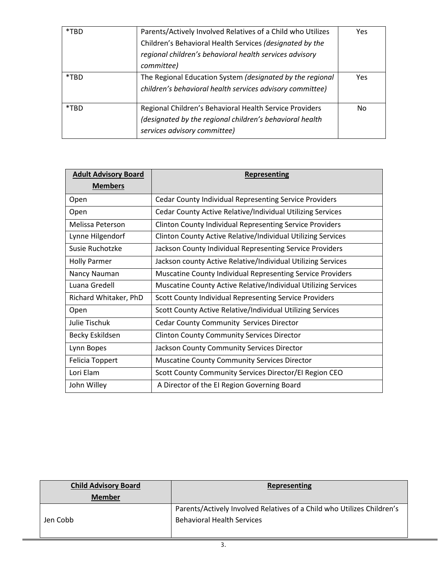| *TBD | Parents/Actively Involved Relatives of a Child who Utilizes<br>Children's Behavioral Health Services (designated by the<br>regional children's behavioral health services advisory<br>committee) | Yes |
|------|--------------------------------------------------------------------------------------------------------------------------------------------------------------------------------------------------|-----|
| *TBD | The Regional Education System (designated by the regional<br>children's behavioral health services advisory committee)                                                                           | Yes |
| *TBD | Regional Children's Behavioral Health Service Providers<br>(designated by the regional children's behavioral health<br>services advisory committee)                                              | No. |

| <b>Adult Advisory Board</b> | <b>Representing</b>                                               |  |
|-----------------------------|-------------------------------------------------------------------|--|
| <b>Members</b>              |                                                                   |  |
| Open                        | <b>Cedar County Individual Representing Service Providers</b>     |  |
| Open                        | Cedar County Active Relative/Individual Utilizing Services        |  |
| Melissa Peterson            | <b>Clinton County Individual Representing Service Providers</b>   |  |
| Lynne Hilgendorf            | Clinton County Active Relative/Individual Utilizing Services      |  |
| Susie Ruchotzke             | Jackson County Individual Representing Service Providers          |  |
| <b>Holly Parmer</b>         | Jackson county Active Relative/Individual Utilizing Services      |  |
| Nancy Nauman                | <b>Muscatine County Individual Representing Service Providers</b> |  |
| Luana Gredell               | Muscatine County Active Relative/Individual Utilizing Services    |  |
| Richard Whitaker, PhD       | Scott County Individual Representing Service Providers            |  |
| Open                        | Scott County Active Relative/Individual Utilizing Services        |  |
| Julie Tischuk               | <b>Cedar County Community Services Director</b>                   |  |
| Becky Eskildsen             | <b>Clinton County Community Services Director</b>                 |  |
| Lynn Bopes                  | Jackson County Community Services Director                        |  |
| <b>Felicia Toppert</b>      | <b>Muscatine County Community Services Director</b>               |  |
| Lori Elam                   | Scott County Community Services Director/El Region CEO            |  |
| John Willey                 | A Director of the El Region Governing Board                       |  |

<span id="page-3-0"></span>

| <b>Child Advisory Board</b><br><b>Member</b> | Representing                                                                                                |  |
|----------------------------------------------|-------------------------------------------------------------------------------------------------------------|--|
| Jen Cobb                                     | Parents/Actively Involved Relatives of a Child who Utilizes Children's<br><b>Behavioral Health Services</b> |  |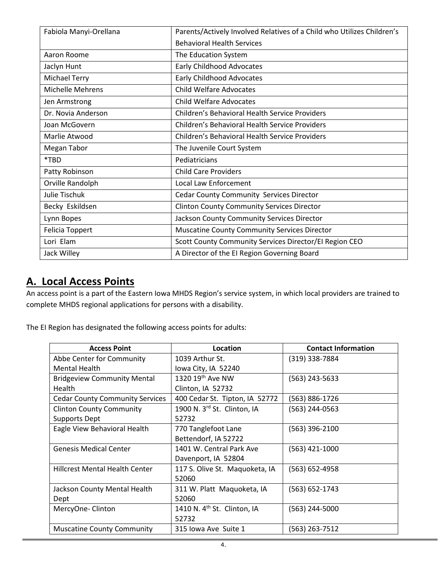| Fabiola Manyi-Orellana  | Parents/Actively Involved Relatives of a Child who Utilizes Children's |  |
|-------------------------|------------------------------------------------------------------------|--|
|                         | <b>Behavioral Health Services</b>                                      |  |
| Aaron Roome             | The Education System                                                   |  |
| Jaclyn Hunt             | <b>Early Childhood Advocates</b>                                       |  |
| Michael Terry           | <b>Early Childhood Advocates</b>                                       |  |
| <b>Michelle Mehrens</b> | <b>Child Welfare Advocates</b>                                         |  |
| Jen Armstrong           | <b>Child Welfare Advocates</b>                                         |  |
| Dr. Novia Anderson      | Children's Behavioral Health Service Providers                         |  |
| Joan McGovern           | Children's Behavioral Health Service Providers                         |  |
| Marlie Atwood           | <b>Children's Behavioral Health Service Providers</b>                  |  |
| Megan Tabor             | The Juvenile Court System                                              |  |
| *TBD                    | Pediatricians                                                          |  |
| Patty Robinson          | <b>Child Care Providers</b>                                            |  |
| Orville Randolph        | Local Law Enforcement                                                  |  |
| <b>Julie Tischuk</b>    | <b>Cedar County Community Services Director</b>                        |  |
| Becky Eskildsen         | <b>Clinton County Community Services Director</b>                      |  |
| Lynn Bopes              | Jackson County Community Services Director                             |  |
| Felicia Toppert         | <b>Muscatine County Community Services Director</b>                    |  |
| Lori Elam               | Scott County Community Services Director/El Region CEO                 |  |
| Jack Willey             | A Director of the El Region Governing Board                            |  |

## **A. Local Access Points**

An access point is a part of the Eastern Iowa MHDS Region's service system, in which local providers are trained to complete MHDS regional applications for persons with a disability.

The EI Region has designated the following access points for adults:

| <b>Access Point</b>                    | Location                                | <b>Contact Information</b> |
|----------------------------------------|-----------------------------------------|----------------------------|
| Abbe Center for Community              | 1039 Arthur St.                         | (319) 338-7884             |
| Mental Health                          | lowa City, IA 52240                     |                            |
| <b>Bridgeview Community Mental</b>     | 1320 19 <sup>th</sup> Ave NW            | (563) 243-5633             |
| <b>Health</b>                          | Clinton, IA 52732                       |                            |
| <b>Cedar County Community Services</b> | 400 Cedar St. Tipton, IA 52772          | (563) 886-1726             |
| <b>Clinton County Community</b>        | 1900 N. 3rd St. Clinton, IA             | (563) 244-0563             |
| Supports Dept                          | 52732                                   |                            |
| Eagle View Behavioral Health           | 770 Tanglefoot Lane                     | (563) 396-2100             |
|                                        | Bettendorf, IA 52722                    |                            |
| <b>Genesis Medical Center</b>          | 1401 W. Central Park Ave                | (563) 421-1000             |
|                                        | Davenport, IA 52804                     |                            |
| <b>Hillcrest Mental Health Center</b>  | 117 S. Olive St. Maquoketa, IA          | (563) 652-4958             |
|                                        | 52060                                   |                            |
| Jackson County Mental Health           | 311 W. Platt Maquoketa, IA              | (563) 652-1743             |
| Dept                                   | 52060                                   |                            |
| MercyOne-Clinton                       | 1410 N. 4 <sup>th</sup> St. Clinton, IA | (563) 244-5000             |
|                                        | 52732                                   |                            |
| <b>Muscatine County Community</b>      | 315 Iowa Ave Suite 1                    | (563) 263-7512             |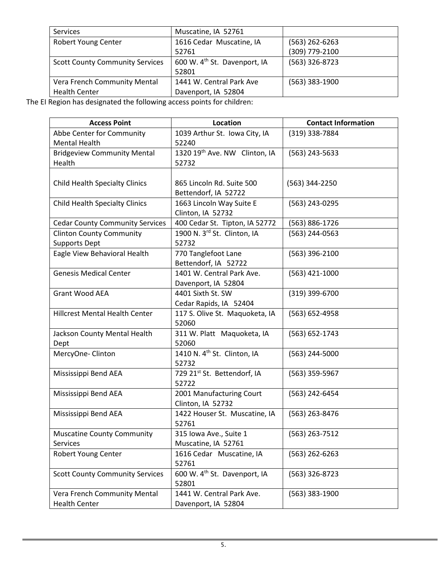| Muscatine, IA 52761                      |                |
|------------------------------------------|----------------|
| 1616 Cedar Muscatine, IA                 | (563) 262-6263 |
| 52761                                    | (309) 779-2100 |
| 600 W. 4 <sup>th</sup> St. Davenport, IA | (563) 326-8723 |
| 52801                                    |                |
| 1441 W. Central Park Ave                 | (563) 383-1900 |
| Davenport, IA 52804                      |                |
|                                          |                |

The EI Region has designated the following access points for children:

| <b>Access Point</b>                    | <b>Location</b>                          | <b>Contact Information</b> |
|----------------------------------------|------------------------------------------|----------------------------|
| Abbe Center for Community              | 1039 Arthur St. Iowa City, IA            | (319) 338-7884             |
| <b>Mental Health</b>                   | 52240                                    |                            |
| <b>Bridgeview Community Mental</b>     | 1320 19th Ave. NW Clinton, IA            | (563) 243-5633             |
| Health                                 | 52732                                    |                            |
|                                        |                                          |                            |
| <b>Child Health Specialty Clinics</b>  | 865 Lincoln Rd. Suite 500                | (563) 344-2250             |
|                                        | Bettendorf, IA 52722                     |                            |
| <b>Child Health Specialty Clinics</b>  | 1663 Lincoln Way Suite E                 | (563) 243-0295             |
|                                        | Clinton, IA 52732                        |                            |
| <b>Cedar County Community Services</b> | 400 Cedar St. Tipton, IA 52772           | (563) 886-1726             |
| <b>Clinton County Community</b>        | 1900 N. 3rd St. Clinton, IA              | (563) 244-0563             |
| <b>Supports Dept</b>                   | 52732                                    |                            |
| Eagle View Behavioral Health           | 770 Tanglefoot Lane                      | $(563)$ 396-2100           |
|                                        | Bettendorf, IA 52722                     |                            |
| <b>Genesis Medical Center</b>          | 1401 W. Central Park Ave.                | (563) 421-1000             |
|                                        | Davenport, IA 52804                      |                            |
| <b>Grant Wood AEA</b>                  | 4401 Sixth St. SW                        | (319) 399-6700             |
|                                        | Cedar Rapids, IA 52404                   |                            |
| <b>Hillcrest Mental Health Center</b>  | 117 S. Olive St. Maquoketa, IA           | (563) 652-4958             |
|                                        | 52060                                    |                            |
| Jackson County Mental Health           | 311 W. Platt Maquoketa, IA               | (563) 652-1743             |
| Dept                                   | 52060                                    |                            |
| MercyOne-Clinton                       | 1410 N. 4 <sup>th</sup> St. Clinton, IA  | (563) 244-5000             |
|                                        | 52732                                    |                            |
| Mississippi Bend AEA                   | 729 21st St. Bettendorf, IA              | (563) 359-5967             |
|                                        | 52722                                    |                            |
| Mississippi Bend AEA                   | 2001 Manufacturing Court                 | (563) 242-6454             |
|                                        | Clinton, IA 52732                        |                            |
| Mississippi Bend AEA                   | 1422 Houser St. Muscatine, IA            | (563) 263-8476             |
|                                        | 52761                                    |                            |
| <b>Muscatine County Community</b>      | 315 Iowa Ave., Suite 1                   | $(563)$ 263-7512           |
| <b>Services</b>                        | Muscatine, IA 52761                      |                            |
| Robert Young Center                    | 1616 Cedar Muscatine, IA                 | (563) 262-6263             |
|                                        | 52761                                    |                            |
| <b>Scott County Community Services</b> | 600 W. 4 <sup>th</sup> St. Davenport, IA | (563) 326-8723             |
|                                        | 52801                                    |                            |
| Vera French Community Mental           | 1441 W. Central Park Ave.                | (563) 383-1900             |
| <b>Health Center</b>                   | Davenport, IA 52804                      |                            |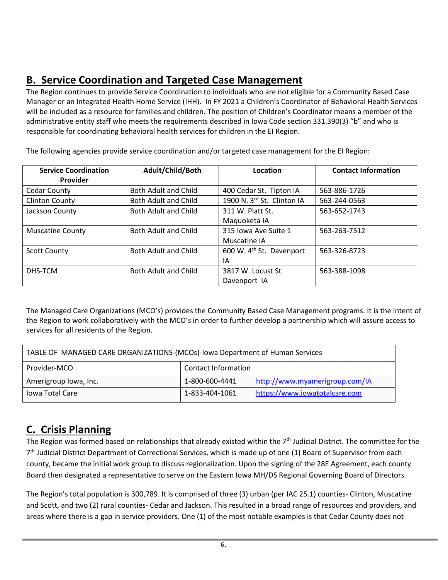# <span id="page-6-0"></span>**B. Service Coordination and Targeted Case Management**

The Region continues to provide Service Coordination to individuals who are not eligible for a Community Based Case Manager or an Integrated Health Home Service (IHH). In FY 2021 a Children's Coordinator of Behavioral Health Services will be included as a resource for families and children. The position of Children's Coordinator means a member of the administrative entity staff who meets the requirements described in Iowa Code section 331.390(3) "b" and who is responsible for coordinating behavioral health services for children in the EI Region.

| <b>Service Coordination</b> | Adult/Child/Both            | Location                             | <b>Contact Information</b> |
|-----------------------------|-----------------------------|--------------------------------------|----------------------------|
| Provider                    |                             |                                      |                            |
| Cedar County                | <b>Both Adult and Child</b> | 400 Cedar St. Tipton IA              | 563-886-1726               |
| <b>Clinton County</b>       | Both Adult and Child        | 1900 N. 3rd St. Clinton IA           | 563-244-0563               |
| Jackson County              | Both Adult and Child        | 311 W. Platt St.                     | 563-652-1743               |
|                             |                             | Maquoketa IA                         |                            |
| <b>Muscatine County</b>     | Both Adult and Child        | 315 Iowa Ave Suite 1                 | 563-263-7512               |
|                             |                             | Muscatine IA                         |                            |
| <b>Scott County</b>         | <b>Both Adult and Child</b> | 600 W. 4 <sup>th</sup> St. Davenport | 563-326-8723               |
|                             |                             | ΙA                                   |                            |
| DHS-TCM                     | <b>Both Adult and Child</b> | 3817 W. Locust St                    | 563-388-1098               |
|                             |                             | Davenport IA                         |                            |

The following agencies provide service coordination and/or targeted case management for the EI Region:

The Managed Care Organizations (MCO's) provides the Community Based Case Management programs. It is the intent of the Region to work collaboratively with the MCO's in order to further develop a partnership which will assure access to services for all residents of the Region.

| TABLE OF MANAGED CARE ORGANIZATIONS-(MCOs)-lowa Department of Human Services |                            |                                |  |
|------------------------------------------------------------------------------|----------------------------|--------------------------------|--|
| Provider-MCO                                                                 | <b>Contact Information</b> |                                |  |
| Amerigroup Iowa, Inc.                                                        | 1-800-600-4441             | http://www.myamerigroup.com/IA |  |
| <b>Iowa Total Care</b>                                                       | 1-833-404-1061             | https://www.iowatotalcare.com  |  |

## <span id="page-6-1"></span>**C. Crisis Planning**

The Region was formed based on relationships that already existed within the  $7<sup>th</sup>$  Judicial District. The committee for the 7th Judicial District Department of Correctional Services, which is made up of one (1) Board of Supervisor from each county, became the initial work group to discuss regionalization. Upon the signing of the 28E Agreement, each county Board then designated a representative to serve on the Eastern Iowa MH/DS Regional Governing Board of Directors.

The Region's total population is 300,789. It is comprised of three (3) urban (per IAC 25.1) counties- Clinton, Muscatine and Scott, and two (2) rural counties- Cedar and Jackson. This resulted in a broad range of resources and providers, and areas where there is a gap in service providers. One (1) of the most notable examples is that Cedar County does not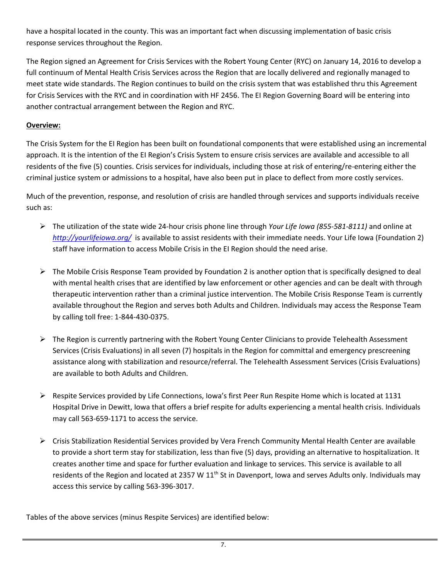have a hospital located in the county. This was an important fact when discussing implementation of basic crisis response services throughout the Region.

The Region signed an Agreement for Crisis Services with the Robert Young Center (RYC) on January 14, 2016 to develop a full continuum of Mental Health Crisis Services across the Region that are locally delivered and regionally managed to meet state wide standards. The Region continues to build on the crisis system that was established thru this Agreement for Crisis Services with the RYC and in coordination with HF 2456. The EI Region Governing Board will be entering into another contractual arrangement between the Region and RYC.

## **Overview:**

The Crisis System for the EI Region has been built on foundational components that were established using an incremental approach. It is the intention of the EI Region's Crisis System to ensure crisis services are available and accessible to all residents of the five (5) counties. Crisis services for individuals, including those at risk of entering/re-entering either the criminal justice system or admissions to a hospital, have also been put in place to deflect from more costly services.

Much of the prevention, response, and resolution of crisis are handled through services and supports individuals receive such as:

- The utilization of the state wide 24-hour crisis phone line through *Your Life Iowa (855-581-8111)* and online at *<http://yourlifeiowa.org/>*is available to assist residents with their immediate needs. Your Life Iowa (Foundation 2) staff have information to access Mobile Crisis in the EI Region should the need arise.
- $\triangleright$  The Mobile Crisis Response Team provided by Foundation 2 is another option that is specifically designed to deal with mental health crises that are identified by law enforcement or other agencies and can be dealt with through therapeutic intervention rather than a criminal justice intervention. The Mobile Crisis Response Team is currently available throughout the Region and serves both Adults and Children. Individuals may access the Response Team by calling toll free: 1-844-430-0375.
- $\triangleright$  The Region is currently partnering with the Robert Young Center Clinicians to provide Telehealth Assessment Services (Crisis Evaluations) in all seven (7) hospitals in the Region for committal and emergency prescreening assistance along with stabilization and resource/referral. The Telehealth Assessment Services (Crisis Evaluations) are available to both Adults and Children.
- $\triangleright$  Respite Services provided by Life Connections, Iowa's first Peer Run Respite Home which is located at 1131 Hospital Drive in Dewitt, Iowa that offers a brief respite for adults experiencing a mental health crisis. Individuals may call 563-659-1171 to access the service.
- ▶ Crisis Stabilization Residential Services provided by Vera French Community Mental Health Center are available to provide a short term stay for stabilization, less than five (5) days, providing an alternative to hospitalization. It creates another time and space for further evaluation and linkage to services. This service is available to all residents of the Region and located at 2357 W 11<sup>th</sup> St in Davenport, Iowa and serves Adults only. Individuals may access this service by calling 563-396-3017.

Tables of the above services (minus Respite Services) are identified below: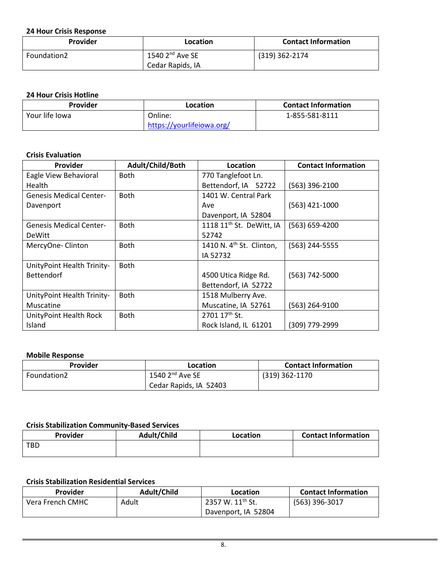#### **24 Hour Crisis Response**

| Provider    | Location               | <b>Contact Information</b> |
|-------------|------------------------|----------------------------|
| Foundation2 | $1540$ $2^{nd}$ Ave SE | (319) 362-2174             |
|             | Cedar Rapids, IA       |                            |

#### **24 Hour Crisis Hotline**

| Provider       | Location                  | <b>Contact Information</b> |  |  |
|----------------|---------------------------|----------------------------|--|--|
| Your life lowa | Online:                   | 1-855-581-8111             |  |  |
|                | https://yourlifeiowa.org/ |                            |  |  |

#### **Crisis Evaluation**

| <b>Provider</b>                | Adult/Child/Both | Location                             | <b>Contact Information</b> |
|--------------------------------|------------------|--------------------------------------|----------------------------|
| Eagle View Behavioral          | <b>Both</b>      | 770 Tanglefoot Ln.                   |                            |
| Health                         |                  | Bettendorf, IA 52722                 | (563) 396-2100             |
| <b>Genesis Medical Center-</b> | <b>Both</b>      | 1401 W. Central Park                 |                            |
| Davenport                      |                  | Ave                                  | (563) 421-1000             |
|                                |                  | Davenport, IA 52804                  |                            |
| <b>Genesis Medical Center-</b> | <b>Both</b>      | 1118 11 <sup>th</sup> St. DeWitt, IA | (563) 659-4200             |
| <b>DeWitt</b>                  |                  | 52742                                |                            |
| MercyOne-Clinton               | <b>Both</b>      | 1410 N. $4th$ St. Clinton,           | (563) 244-5555             |
|                                |                  | IA 52732                             |                            |
| UnityPoint Health Trinity-     | <b>Both</b>      |                                      |                            |
| <b>Bettendorf</b>              |                  | 4500 Utica Ridge Rd.                 | (563) 742-5000             |
|                                |                  | Bettendorf, IA 52722                 |                            |
| UnityPoint Health Trinity-     | Both             | 1518 Mulberry Ave.                   |                            |
| Muscatine                      |                  | Muscatine, IA 52761                  | (563) 264-9100             |
| UnityPoint Health Rock         | <b>Both</b>      | 2701 17th St.                        |                            |
| Island                         |                  | Rock Island, IL 61201                | (309) 779-2999             |

#### **Mobile Response**

| Provider    | Location               | <b>Contact Information</b> |  |  |
|-------------|------------------------|----------------------------|--|--|
| Foundation2 | $1540$ $2nd$ Ave SE    | $(319)$ 362-1170           |  |  |
|             | Cedar Rapids, IA 52403 |                            |  |  |

### **Crisis Stabilization Community-Based Services**

| <b>Contact Information</b> | Location | Adult/Child | Provider   |  |
|----------------------------|----------|-------------|------------|--|
|                            |          |             | <b>TBD</b> |  |
|                            |          |             |            |  |

#### **Crisis Stabilization Residential Services**

| <b>Provider</b>           | Adult/Child | Location                     | <b>Contact Information</b> |
|---------------------------|-------------|------------------------------|----------------------------|
| Adult<br>Vera French CMHC |             | 2357 W. 11 <sup>th</sup> St. | (563) 396-3017             |
|                           |             | Davenport, IA 52804          |                            |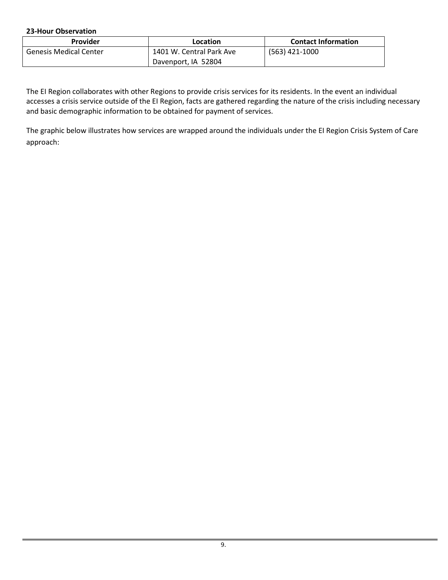**23-Hour Observation**

| Provider                      | Location                 | <b>Contact Information</b> |  |  |
|-------------------------------|--------------------------|----------------------------|--|--|
| <b>Genesis Medical Center</b> | 1401 W. Central Park Ave | (563) 421-1000             |  |  |
|                               | Davenport, IA 52804      |                            |  |  |

The EI Region collaborates with other Regions to provide crisis services for its residents. In the event an individual accesses a crisis service outside of the EI Region, facts are gathered regarding the nature of the crisis including necessary and basic demographic information to be obtained for payment of services.

The graphic below illustrates how services are wrapped around the individuals under the EI Region Crisis System of Care approach: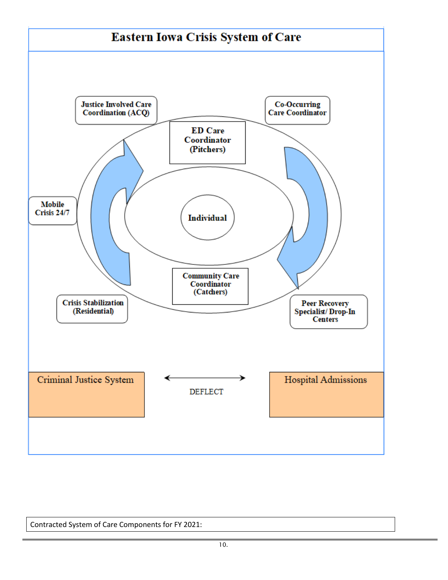

Contracted System of Care Components for FY 2021: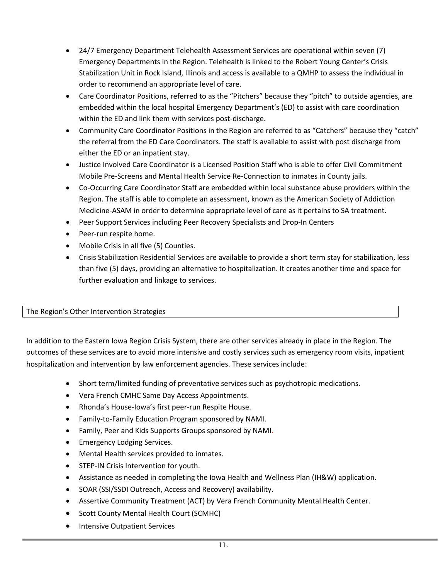- 24/7 Emergency Department Telehealth Assessment Services are operational within seven (7) Emergency Departments in the Region. Telehealth is linked to the Robert Young Center's Crisis Stabilization Unit in Rock Island, Illinois and access is available to a QMHP to assess the individual in order to recommend an appropriate level of care.
- Care Coordinator Positions, referred to as the "Pitchers" because they "pitch" to outside agencies, are embedded within the local hospital Emergency Department's (ED) to assist with care coordination within the ED and link them with services post-discharge.
- Community Care Coordinator Positions in the Region are referred to as "Catchers" because they "catch" the referral from the ED Care Coordinators. The staff is available to assist with post discharge from either the ED or an inpatient stay.
- Justice Involved Care Coordinator is a Licensed Position Staff who is able to offer Civil Commitment Mobile Pre-Screens and Mental Health Service Re-Connection to inmates in County jails.
- Co-Occurring Care Coordinator Staff are embedded within local substance abuse providers within the Region. The staff is able to complete an assessment, known as the American Society of Addiction Medicine-ASAM in order to determine appropriate level of care as it pertains to SA treatment.
- Peer Support Services including Peer Recovery Specialists and Drop-In Centers
- Peer-run respite home.
- Mobile Crisis in all five (5) Counties.
- Crisis Stabilization Residential Services are available to provide a short term stay for stabilization, less than five (5) days, providing an alternative to hospitalization. It creates another time and space for further evaluation and linkage to services.

#### The Region's Other Intervention Strategies

In addition to the Eastern Iowa Region Crisis System, there are other services already in place in the Region. The outcomes of these services are to avoid more intensive and costly services such as emergency room visits, inpatient hospitalization and intervention by law enforcement agencies. These services include:

- Short term/limited funding of preventative services such as psychotropic medications.
- Vera French CMHC Same Day Access Appointments.
- Rhonda's House-Iowa's first peer-run Respite House.
- Family-to-Family Education Program sponsored by NAMI.
- Family, Peer and Kids Supports Groups sponsored by NAMI.
- Emergency Lodging Services.
- Mental Health services provided to inmates.
- STEP-IN Crisis Intervention for youth.
- Assistance as needed in completing the Iowa Health and Wellness Plan (IH&W) application.
- SOAR (SSI/SSDI Outreach, Access and Recovery) availability.
- Assertive Community Treatment (ACT) by Vera French Community Mental Health Center.
- Scott County Mental Health Court (SCMHC)
- Intensive Outpatient Services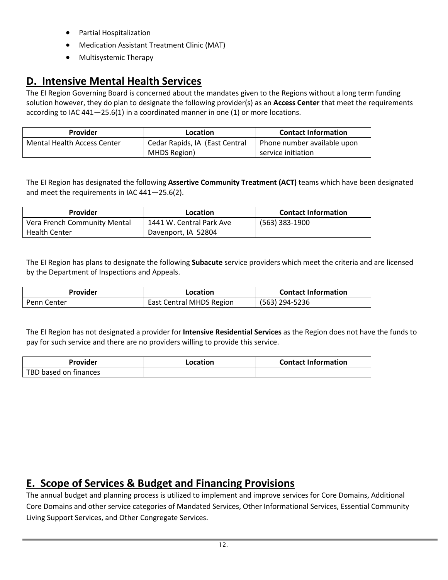- Partial Hospitalization
- Medication Assistant Treatment Clinic (MAT)
- Multisystemic Therapy

## <span id="page-12-0"></span>**D. Intensive Mental Health Services**

The EI Region Governing Board is concerned about the mandates given to the Regions without a long term funding solution however, they do plan to designate the following provider(s) as an **Access Center** that meet the requirements according to IAC 441—25.6(1) in a coordinated manner in one (1) or more locations.

| <b>Provider</b>                    | Location                       | <b>Contact Information</b>  |
|------------------------------------|--------------------------------|-----------------------------|
| <b>Mental Health Access Center</b> | Cedar Rapids, IA (East Central | Phone number available upon |
|                                    | MHDS Region)                   | service initiation          |

The EI Region has designated the following **Assertive Community Treatment (ACT)** teams which have been designated and meet the requirements in IAC 441—25.6(2).

| <b>Provider</b>              | Location                 | <b>Contact Information</b> |  |
|------------------------------|--------------------------|----------------------------|--|
| Vera French Community Mental | 1441 W. Central Park Ave | (563) 383-1900             |  |
| <b>Health Center</b>         | Davenport, IA 52804      |                            |  |

The EI Region has plans to designate the following **Subacute** service providers which meet the criteria and are licensed by the Department of Inspections and Appeals.

| Provider    | Location                        | <b>Contact Information</b> |  |  |
|-------------|---------------------------------|----------------------------|--|--|
| Penn Center | <b>East Central MHDS Region</b> | (563) 294-5236             |  |  |

The EI Region has not designated a provider for **Intensive Residential Services** as the Region does not have the funds to pay for such service and there are no providers willing to provide this service.

| Provider              | Location | <b>Contact Information</b> |  |  |
|-----------------------|----------|----------------------------|--|--|
| TBD based on finances |          |                            |  |  |

## <span id="page-12-1"></span>**E. Scope of Services & Budget and Financing Provisions**

The annual budget and planning process is utilized to implement and improve services for Core Domains, Additional Core Domains and other service categories of Mandated Services, Other Informational Services, Essential Community Living Support Services, and Other Congregate Services.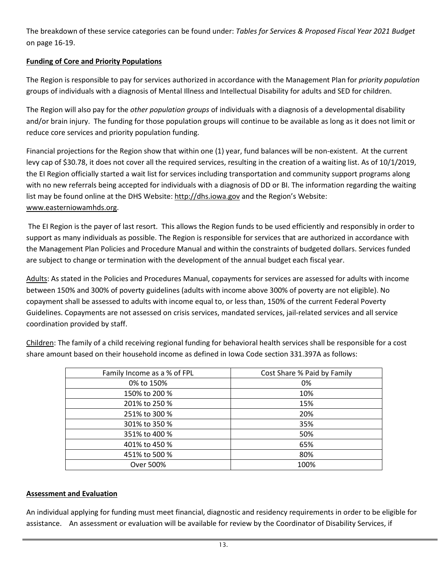The breakdown of these service categories can be found under: *Tables for Services & Proposed Fiscal Year 2021 Budget* on page 16-19.

## **Funding of Core and Priority Populations**

The Region is responsible to pay for services authorized in accordance with the Management Plan for *priority population* groups of individuals with a diagnosis of Mental Illness and Intellectual Disability for adults and SED for children.

The Region will also pay for the *other population groups* of individuals with a diagnosis of a developmental disability and/or brain injury. The funding for those population groups will continue to be available as long as it does not limit or reduce core services and priority population funding.

Financial projections for the Region show that within one (1) year, fund balances will be non-existent. At the current levy cap of \$30.78, it does not cover all the required services, resulting in the creation of a waiting list. As of 10/1/2019, the EI Region officially started a wait list for services including transportation and community support programs along with no new referrals being accepted for individuals with a diagnosis of DD or BI. The information regarding the waiting list may be found online at the DHS Website[: http://dhs.iowa.gov](http://dhs.iowa.gov/) and the Region's Website: [www.easterniowamhds.org.](http://www.easterniowamhds.org/)

The EI Region is the payer of last resort. This allows the Region funds to be used efficiently and responsibly in order to support as many individuals as possible. The Region is responsible for services that are authorized in accordance with the Management Plan Policies and Procedure Manual and within the constraints of budgeted dollars. Services funded are subject to change or termination with the development of the annual budget each fiscal year.

Adults: As stated in the Policies and Procedures Manual, copayments for services are assessed for adults with income between 150% and 300% of poverty guidelines (adults with income above 300% of poverty are not eligible). No copayment shall be assessed to adults with income equal to, or less than, 150% of the current Federal Poverty Guidelines. Copayments are not assessed on crisis services, mandated services, jail-related services and all service coordination provided by staff.

| Family Income as a % of FPL | Cost Share % Paid by Family |
|-----------------------------|-----------------------------|
| 0% to 150%                  | 0%                          |
| 150% to 200 %               | 10%                         |
| 201% to 250 %               | 15%                         |
| 251% to 300 %               | 20%                         |
| 301% to 350 %               | 35%                         |
| 351% to 400 %               | 50%                         |
| 401% to 450 %               | 65%                         |
| 451% to 500 %               | 80%                         |
| Over 500%                   | 100%                        |
|                             |                             |

Children: The family of a child receiving regional funding for behavioral health services shall be responsible for a cost share amount based on their household income as defined in Iowa Code section 331.397A as follows:

#### **Assessment and Evaluation**

An individual applying for funding must meet financial, diagnostic and residency requirements in order to be eligible for assistance. An assessment or evaluation will be available for review by the Coordinator of Disability Services, if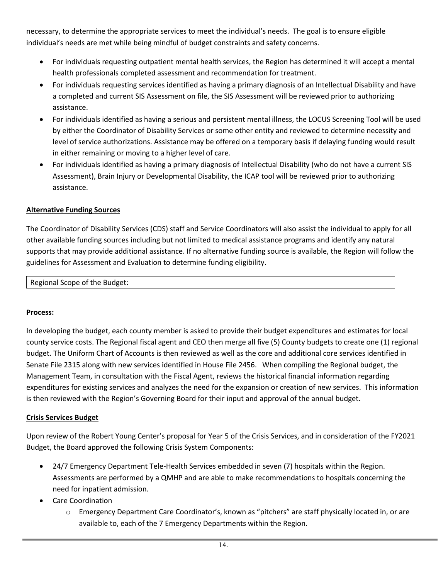necessary, to determine the appropriate services to meet the individual's needs. The goal is to ensure eligible individual's needs are met while being mindful of budget constraints and safety concerns.

- For individuals requesting outpatient mental health services, the Region has determined it will accept a mental health professionals completed assessment and recommendation for treatment.
- For individuals requesting services identified as having a primary diagnosis of an Intellectual Disability and have a completed and current SIS Assessment on file, the SIS Assessment will be reviewed prior to authorizing assistance.
- For individuals identified as having a serious and persistent mental illness, the LOCUS Screening Tool will be used by either the Coordinator of Disability Services or some other entity and reviewed to determine necessity and level of service authorizations. Assistance may be offered on a temporary basis if delaying funding would result in either remaining or moving to a higher level of care.
- For individuals identified as having a primary diagnosis of Intellectual Disability (who do not have a current SIS Assessment), Brain Injury or Developmental Disability, the ICAP tool will be reviewed prior to authorizing assistance.

### **Alternative Funding Sources**

The Coordinator of Disability Services (CDS) staff and Service Coordinators will also assist the individual to apply for all other available funding sources including but not limited to medical assistance programs and identify any natural supports that may provide additional assistance. If no alternative funding source is available, the Region will follow the guidelines for Assessment and Evaluation to determine funding eligibility.

Regional Scope of the Budget:

### **Process:**

In developing the budget, each county member is asked to provide their budget expenditures and estimates for local county service costs. The Regional fiscal agent and CEO then merge all five (5) County budgets to create one (1) regional budget. The Uniform Chart of Accounts is then reviewed as well as the core and additional core services identified in Senate File 2315 along with new services identified in House File 2456. When compiling the Regional budget, the Management Team, in consultation with the Fiscal Agent, reviews the historical financial information regarding expenditures for existing services and analyzes the need for the expansion or creation of new services. This information is then reviewed with the Region's Governing Board for their input and approval of the annual budget.

### **Crisis Services Budget**

Upon review of the Robert Young Center's proposal for Year 5 of the Crisis Services, and in consideration of the FY2021 Budget, the Board approved the following Crisis System Components:

- 24/7 Emergency Department Tele-Health Services embedded in seven (7) hospitals within the Region. Assessments are performed by a QMHP and are able to make recommendations to hospitals concerning the need for inpatient admission.
- Care Coordination
	- o Emergency Department Care Coordinator's, known as "pitchers" are staff physically located in, or are available to, each of the 7 Emergency Departments within the Region.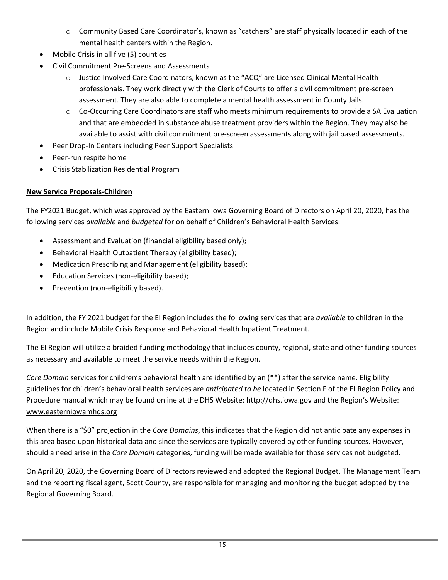- o Community Based Care Coordinator's, known as "catchers" are staff physically located in each of the mental health centers within the Region.
- Mobile Crisis in all five (5) counties
- Civil Commitment Pre-Screens and Assessments
	- o Justice Involved Care Coordinators, known as the "ACQ" are Licensed Clinical Mental Health professionals. They work directly with the Clerk of Courts to offer a civil commitment pre-screen assessment. They are also able to complete a mental health assessment in County Jails.
	- o Co-Occurring Care Coordinators are staff who meets minimum requirements to provide a SA Evaluation and that are embedded in substance abuse treatment providers within the Region. They may also be available to assist with civil commitment pre-screen assessments along with jail based assessments.
- Peer Drop-In Centers including Peer Support Specialists
- Peer-run respite home
- Crisis Stabilization Residential Program

## **New Service Proposals-Children**

The FY2021 Budget, which was approved by the Eastern Iowa Governing Board of Directors on April 20, 2020, has the following services *available* and *budgeted* for on behalf of Children's Behavioral Health Services:

- Assessment and Evaluation (financial eligibility based only);
- Behavioral Health Outpatient Therapy (eligibility based);
- Medication Prescribing and Management (eligibility based);
- Education Services (non-eligibility based);
- Prevention (non-eligibility based).

In addition, the FY 2021 budget for the EI Region includes the following services that are *available* to children in the Region and include Mobile Crisis Response and Behavioral Health Inpatient Treatment.

The EI Region will utilize a braided funding methodology that includes county, regional, state and other funding sources as necessary and available to meet the service needs within the Region.

*Core Domain* services for children's behavioral health are identified by an (\*\*) after the service name. Eligibility guidelines for children's behavioral health services are *anticipated to be* located in Section F of the EI Region Policy and Procedure manual which may be found online at the DHS Website: [http://dhs.iowa.gov](http://dhs.iowa.gov/) and the Region's Website: [www.easterniowamhds.org](http://www.easterniowamhds.org/)

When there is a "\$0" projection in the *Core Domains*, this indicates that the Region did not anticipate any expenses in this area based upon historical data and since the services are typically covered by other funding sources. However, should a need arise in the *Core Domain* categories, funding will be made available for those services not budgeted.

On April 20, 2020, the Governing Board of Directors reviewed and adopted the Regional Budget. The Management Team and the reporting fiscal agent, Scott County, are responsible for managing and monitoring the budget adopted by the Regional Governing Board.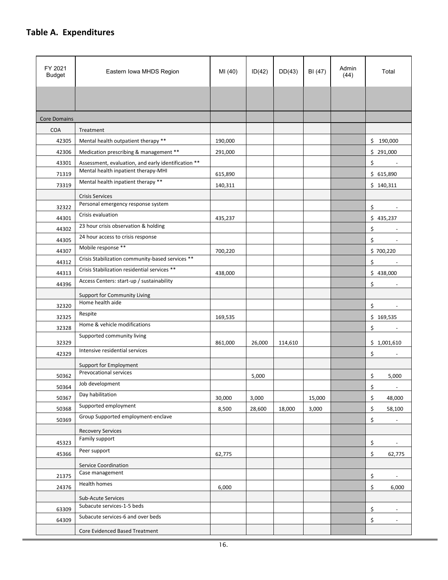## <span id="page-16-0"></span>**Table A. Expenditures**

| FY 2021<br><b>Budget</b> | Eastern Iowa MHDS Region                                | MI (40) | ID(42) | DD(43)  | BI (47) | Admin<br>(44) | Total                                |
|--------------------------|---------------------------------------------------------|---------|--------|---------|---------|---------------|--------------------------------------|
|                          |                                                         |         |        |         |         |               |                                      |
| <b>Core Domains</b>      |                                                         |         |        |         |         |               |                                      |
| <b>COA</b>               | Treatment                                               |         |        |         |         |               |                                      |
| 42305                    | Mental health outpatient therapy **                     | 190,000 |        |         |         |               | \$190,000                            |
| 42306                    | Medication prescribing & management **                  | 291,000 |        |         |         |               | \$291,000                            |
| 43301                    | Assessment, evaluation, and early identification **     |         |        |         |         |               | \$                                   |
| 71319                    | Mental health inpatient therapy-MHI                     | 615,890 |        |         |         |               | \$615,890                            |
| 73319                    | Mental health inpatient therapy **                      | 140,311 |        |         |         |               | \$140,311                            |
|                          | <b>Crisis Services</b>                                  |         |        |         |         |               |                                      |
| 32322                    | Personal emergency response system                      |         |        |         |         |               | \$                                   |
| 44301                    | Crisis evaluation                                       | 435,237 |        |         |         |               | \$435,237                            |
| 44302                    | 23 hour crisis observation & holding                    |         |        |         |         |               | \$                                   |
| 44305                    | 24 hour access to crisis response                       |         |        |         |         |               | \$                                   |
| 44307                    | Mobile response **                                      | 700,220 |        |         |         |               | \$700,220                            |
| 44312                    | Crisis Stabilization community-based services **        |         |        |         |         |               | \$                                   |
| 44313                    | Crisis Stabilization residential services **            | 438,000 |        |         |         |               | \$438,000                            |
| 44396                    | Access Centers: start-up / sustainability               |         |        |         |         |               | \$                                   |
|                          | Support for Community Living                            |         |        |         |         |               |                                      |
| 32320                    | Home health aide                                        |         |        |         |         |               | \$                                   |
| 32325                    | Respite                                                 | 169,535 |        |         |         |               | \$169,535                            |
| 32328                    | Home & vehicle modifications                            |         |        |         |         |               | \$<br>$\overline{\phantom{a}}$       |
|                          | Supported community living                              |         | 26,000 |         |         |               | \$1,001,610                          |
| 32329                    | Intensive residential services                          | 861,000 |        | 114,610 |         |               |                                      |
| 42329                    |                                                         |         |        |         |         |               | \$                                   |
|                          | Support for Employment<br><b>Prevocational services</b> |         |        |         |         |               |                                      |
| 50362                    | Job development                                         |         | 5,000  |         |         |               | \$<br>5,000                          |
| 50364<br>50367           | Day habilitation                                        | 30,000  |        |         | 15,000  |               | \$<br>$\overline{\phantom{a}}$<br>\$ |
| 50368                    | Supported employment                                    | 8,500   | 3,000  | 18,000  | 3,000   |               | 48,000                               |
| 50369                    | Group Supported employment-enclave                      |         | 28,600 |         |         |               | \$<br>58,100<br>\$<br>$\overline{a}$ |
|                          | <b>Recovery Services</b>                                |         |        |         |         |               |                                      |
|                          | Family support                                          |         |        |         |         |               |                                      |
| 45323                    | Peer support                                            |         |        |         |         |               | \$                                   |
| 45366                    |                                                         | 62,775  |        |         |         |               | \$<br>62,775                         |
|                          | Service Coordination<br>Case management                 |         |        |         |         |               |                                      |
| 21375                    | Health homes                                            |         |        |         |         |               | \$                                   |
| 24376                    |                                                         | 6,000   |        |         |         |               | \$<br>6,000                          |
|                          | Sub-Acute Services<br>Subacute services-1-5 beds        |         |        |         |         |               |                                      |
| 63309                    | Subacute services-6 and over beds                       |         |        |         |         |               | \$                                   |
| 64309                    |                                                         |         |        |         |         |               | \$<br>$\overline{a}$                 |
|                          | Core Evidenced Based Treatment                          |         |        |         |         |               |                                      |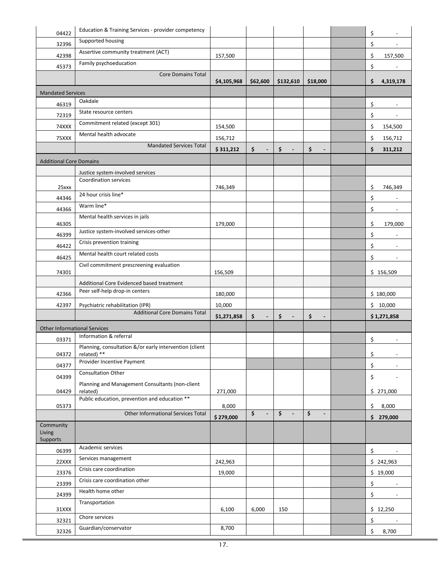| 04422                               | Education & Training Services - provider competency                |             |                      |                                 |                      | \$ |                |
|-------------------------------------|--------------------------------------------------------------------|-------------|----------------------|---------------------------------|----------------------|----|----------------|
| 32396                               | Supported housing                                                  |             |                      |                                 |                      | \$ |                |
| 42398                               | Assertive community treatment (ACT)                                | 157,500     |                      |                                 |                      | \$ | 157,500        |
| 45373                               | Family psychoeducation                                             |             |                      |                                 |                      | \$ |                |
|                                     | <b>Core Domains Total</b>                                          | \$4,105,968 | \$62,600             | \$132,610                       | \$18,000             | \$ | 4,319,178      |
| <b>Mandated Services</b>            |                                                                    |             |                      |                                 |                      |    |                |
| 46319                               | Oakdale                                                            |             |                      |                                 |                      | \$ |                |
| 72319                               | State resource centers                                             |             |                      |                                 |                      | \$ |                |
| 74XXX                               | Commitment related (except 301)                                    | 154,500     |                      |                                 |                      | \$ | 154,500        |
| 75XXX                               | Mental health advocate                                             | 156,712     |                      |                                 |                      | \$ | 156,712        |
|                                     | <b>Mandated Services Total</b>                                     | \$311,212   | \$<br>$\blacksquare$ | \$<br>$\blacksquare$            | \$                   | \$ | 311,212        |
| <b>Additional Core Domains</b>      |                                                                    |             |                      |                                 |                      |    |                |
|                                     | Justice system-involved services                                   |             |                      |                                 |                      |    |                |
|                                     | <b>Coordination services</b>                                       |             |                      |                                 |                      |    |                |
| 25xxx                               | 24 hour crisis line*                                               | 746,349     |                      |                                 |                      | \$ | 746,349        |
| 44346                               | Warm line*                                                         |             |                      |                                 |                      | \$ |                |
| 44366                               | Mental health services in jails                                    |             |                      |                                 |                      | \$ |                |
| 46305                               |                                                                    | 179,000     |                      |                                 |                      | \$ | 179,000        |
| 46399                               | Justice system-involved services-other                             |             |                      |                                 |                      | \$ |                |
| 46422                               | Crisis prevention training                                         |             |                      |                                 |                      | \$ |                |
| 46425                               | Mental health court related costs                                  |             |                      |                                 |                      | \$ |                |
| 74301                               | Civil commitment prescreening evaluation                           | 156,509     |                      |                                 |                      |    | \$156,509      |
|                                     | Additional Core Evidenced based treatment                          |             |                      |                                 |                      |    |                |
| 42366                               | Peer self-help drop-in centers                                     | 180,000     |                      |                                 |                      |    | \$180,000      |
| 42397                               | Psychiatric rehabilitation (IPR)                                   | 10,000      |                      |                                 |                      |    | \$10,000       |
|                                     | <b>Additional Core Domains Total</b>                               | \$1,271,858 | \$<br>$\blacksquare$ | \$<br>$\blacksquare$            | \$<br>$\blacksquare$ |    | \$1,271,858    |
| <b>Other Informational Services</b> |                                                                    |             |                      |                                 |                      |    |                |
| 03371                               | Information & referral                                             |             |                      |                                 |                      | \$ |                |
| 04372                               | Planning, consultation &/or early intervention (client<br>related) |             |                      |                                 |                      | \$ |                |
| 04377                               | Provider Incentive Payment                                         |             |                      |                                 |                      | \$ | $\overline{a}$ |
| 04399                               | Consultation Other                                                 |             |                      |                                 |                      | \$ |                |
|                                     | Planning and Management Consultants (non-client                    |             |                      |                                 |                      |    |                |
| 04429                               | related)<br>Public education, prevention and education **          | 271,000     |                      |                                 |                      |    | \$271,000      |
| 05373                               | Other Informational Services Total                                 | 8,000       | \$<br>$\blacksquare$ | $\frac{1}{2}$<br>$\blacksquare$ | \$<br>$\frac{1}{2}$  | \$ | 8,000          |
|                                     |                                                                    | \$279,000   |                      |                                 |                      |    | \$279,000      |
| Community<br>Living<br>Supports     |                                                                    |             |                      |                                 |                      |    |                |
| 06399                               | Academic services                                                  |             |                      |                                 |                      | \$ |                |
| 22XXX                               | Services management                                                | 242,963     |                      |                                 |                      |    | \$242,963      |
| 23376                               | Crisis care coordination                                           | 19,000      |                      |                                 |                      |    | \$19,000       |
| 23399                               | Crisis care coordination other                                     |             |                      |                                 |                      | \$ |                |
| 24399                               | Health home other                                                  |             |                      |                                 |                      | \$ |                |
|                                     | Transportation                                                     |             |                      |                                 |                      |    |                |
| 31XXX                               | Chore services                                                     | 6,100       | 6,000                | 150                             |                      |    | \$12,250       |
| 32321                               | Guardian/conservator                                               | 8,700       |                      |                                 |                      | \$ |                |
| 32326                               |                                                                    |             |                      |                                 |                      | \$ | 8,700          |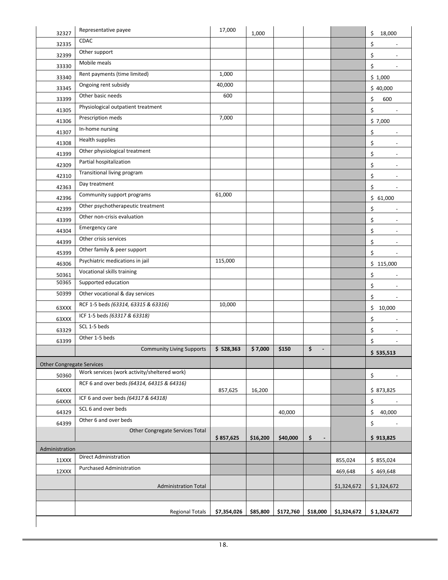| 32327                            | Representative payee                         | 17,000      | 1,000    |           |                      |             | \$<br>18,000                   |
|----------------------------------|----------------------------------------------|-------------|----------|-----------|----------------------|-------------|--------------------------------|
| 32335                            | CDAC                                         |             |          |           |                      |             | \$                             |
| 32399                            | Other support                                |             |          |           |                      |             | \$<br>$\overline{\phantom{a}}$ |
| 33330                            | Mobile meals                                 |             |          |           |                      |             | \$<br>$\overline{\phantom{a}}$ |
| 33340                            | Rent payments (time limited)                 | 1,000       |          |           |                      |             | \$1,000                        |
| 33345                            | Ongoing rent subsidy                         | 40,000      |          |           |                      |             | \$40,000                       |
| 33399                            | Other basic needs                            | 600         |          |           |                      |             | \$<br>600                      |
| 41305                            | Physiological outpatient treatment           |             |          |           |                      |             | \$                             |
| 41306                            | Prescription meds                            | 7,000       |          |           |                      |             | \$7,000                        |
| 41307                            | In-home nursing                              |             |          |           |                      |             | \$                             |
| 41308                            | Health supplies                              |             |          |           |                      |             | \$<br>$\overline{\phantom{a}}$ |
| 41399                            | Other physiological treatment                |             |          |           |                      |             | \$<br>$\overline{\phantom{a}}$ |
| 42309                            | Partial hospitalization                      |             |          |           |                      |             | \$<br>$\overline{\phantom{a}}$ |
| 42310                            | Transitional living program                  |             |          |           |                      |             | \$<br>$\overline{\phantom{a}}$ |
| 42363                            | Day treatment                                |             |          |           |                      |             | \$<br>$\overline{\phantom{a}}$ |
| 42396                            | Community support programs                   | 61,000      |          |           |                      |             | \$61,000                       |
| 42399                            | Other psychotherapeutic treatment            |             |          |           |                      |             | \$<br>$\overline{\phantom{a}}$ |
| 43399                            | Other non-crisis evaluation                  |             |          |           |                      |             | \$<br>÷,                       |
| 44304                            | Emergency care                               |             |          |           |                      |             | \$<br>$\overline{\phantom{a}}$ |
| 44399                            | Other crisis services                        |             |          |           |                      |             | \$<br>$\overline{\phantom{a}}$ |
| 45399                            | Other family & peer support                  |             |          |           |                      |             | \$<br>$\overline{\phantom{a}}$ |
| 46306                            | Psychiatric medications in jail              | 115,000     |          |           |                      |             | \$115,000                      |
| 50361                            | Vocational skills training                   |             |          |           |                      |             | \$                             |
| 50365                            | Supported education                          |             |          |           |                      |             | \$<br>$\overline{\phantom{a}}$ |
| 50399                            | Other vocational & day services              |             |          |           |                      |             | \$<br>$\overline{\phantom{a}}$ |
| 63XXX                            | RCF 1-5 beds (63314, 63315 & 63316)          | 10,000      |          |           |                      |             | \$10,000                       |
| 63XXX                            | ICF 1-5 beds (63317 & 63318)                 |             |          |           |                      |             | \$<br>$\overline{\phantom{a}}$ |
| 63329                            | SCL 1-5 beds                                 |             |          |           |                      |             | \$                             |
| 63399                            | Other 1-5 beds                               |             |          |           |                      |             | \$                             |
|                                  | <b>Community Living Supports</b>             | \$528,363   | \$7,000  | \$150     | \$                   |             | \$535,513                      |
| <b>Other Congregate Services</b> |                                              |             |          |           |                      |             |                                |
| 50360                            | Work services (work activity/sheltered work) |             |          |           |                      |             |                                |
|                                  | RCF 6 and over beds (64314, 64315 & 64316)   |             |          |           |                      |             | \$                             |
| 64XXX                            | ICF 6 and over beds (64317 & 64318)          | 857,625     | 16,200   |           |                      |             | \$873,825                      |
| 64XXX                            | SCL 6 and over beds                          |             |          |           |                      |             | \$                             |
| 64329                            | Other 6 and over beds                        |             |          | 40,000    |                      |             | \$<br>40,000                   |
| 64399                            |                                              |             |          |           |                      |             | \$                             |
|                                  | Other Congregate Services Total              | \$857,625   | \$16,200 | \$40,000  | \$<br>$\blacksquare$ |             | \$913,825                      |
| Administration                   |                                              |             |          |           |                      |             |                                |
| 11XXX                            | <b>Direct Administration</b>                 |             |          |           |                      | 855,024     | \$855,024                      |
| 12XXX                            | <b>Purchased Administration</b>              |             |          |           |                      | 469,648     | \$469,648                      |
|                                  |                                              |             |          |           |                      |             |                                |
|                                  | <b>Administration Total</b>                  |             |          |           |                      | \$1,324,672 | \$1,324,672                    |
|                                  |                                              |             |          |           |                      |             |                                |
|                                  | <b>Regional Totals</b>                       | \$7,354,026 | \$85,800 | \$172,760 | \$18,000             | \$1,324,672 | \$1,324,672                    |
|                                  |                                              |             |          |           |                      |             |                                |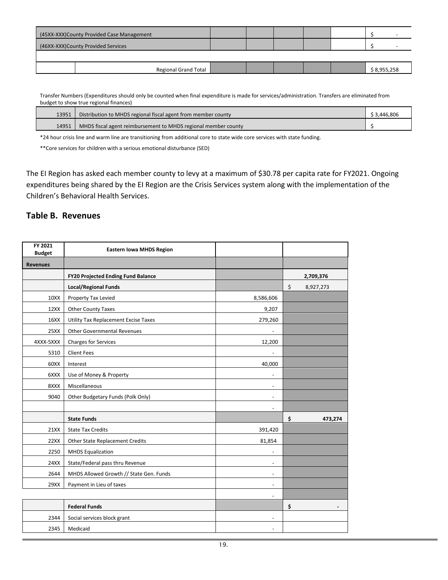|                                    | (45XX-XXX)County Provided Case Management |  |  |             |
|------------------------------------|-------------------------------------------|--|--|-------------|
| (46XX-XXX)County Provided Services |                                           |  |  |             |
|                                    |                                           |  |  |             |
|                                    | <b>Regional Grand Total</b>               |  |  | \$8,955,258 |

Transfer Numbers (Expenditures should only be counted when final expenditure is made for services/administration. Transfers are eliminated from budget to show true regional finances)

| 13951 | Distribution to MHDS regional fiscal agent from member county          | \$ 3.446.806 |
|-------|------------------------------------------------------------------------|--------------|
|       | 14951   MHDS fiscal agent reimbursement to MHDS regional member county |              |

\*24 hour crisis line and warm line are transitioning from additional core to state wide core services with state funding.

\*\*Core services for children with a serious emotional disturbance (SED)

<span id="page-19-0"></span>The EI Region has asked each member county to levy at a maximum of \$30.78 per capita rate for FY2021. Ongoing expenditures being shared by the EI Region are the Crisis Services system along with the implementation of the Children's Behavioral Health Services.

#### **Table B. Revenues**

| FY 2021<br><b>Budget</b> | <b>Eastern Iowa MHDS Region</b>           |                          |                 |
|--------------------------|-------------------------------------------|--------------------------|-----------------|
| <b>Revenues</b>          |                                           |                          |                 |
|                          | <b>FY20 Projected Ending Fund Balance</b> |                          | 2,709,376       |
|                          | <b>Local/Regional Funds</b>               |                          | \$<br>8,927,273 |
| 10XX                     | Property Tax Levied                       | 8,586,606                |                 |
| 12XX                     | Other County Taxes                        | 9,207                    |                 |
| 16XX                     | Utility Tax Replacement Excise Taxes      | 279,260                  |                 |
| 25XX                     | <b>Other Governmental Revenues</b>        |                          |                 |
| 4XXX-5XXX                | <b>Charges for Services</b>               | 12,200                   |                 |
| 5310                     | <b>Client Fees</b>                        |                          |                 |
| 60XX                     | Interest                                  | 40,000                   |                 |
| 6XXX                     | Use of Money & Property                   | $\overline{\phantom{a}}$ |                 |
| 8XXX                     | Miscellaneous                             | $\overline{\phantom{a}}$ |                 |
| 9040                     | Other Budgetary Funds (Polk Only)         | $\overline{\phantom{a}}$ |                 |
|                          |                                           |                          |                 |
|                          | <b>State Funds</b>                        |                          | \$<br>473,274   |
| 21XX                     | <b>State Tax Credits</b>                  | 391,420                  |                 |
| 22XX                     | Other State Replacement Credits           | 81,854                   |                 |
| 2250                     | <b>MHDS Equalization</b>                  |                          |                 |
| 24XX                     | State/Federal pass thru Revenue           | $\overline{\phantom{a}}$ |                 |
| 2644                     | MHDS Allowed Growth // State Gen. Funds   |                          |                 |
| 29XX                     | Payment in Lieu of taxes                  | $\overline{\phantom{a}}$ |                 |
|                          |                                           | $\overline{\phantom{a}}$ |                 |
|                          | <b>Federal Funds</b>                      |                          | \$              |
| 2344                     | Social services block grant               | $\overline{\phantom{a}}$ |                 |
| 2345                     | Medicaid                                  |                          |                 |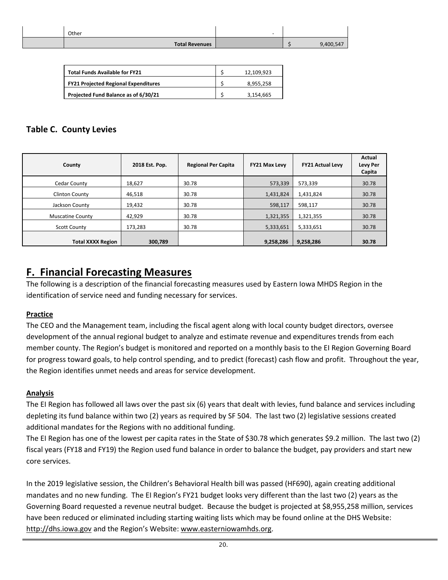| Other                 | $\overline{\phantom{0}}$ |           |
|-----------------------|--------------------------|-----------|
| <b>Total Revenues</b> |                          | 9,400,547 |

| <b>Total Funds Available for FY21</b>       | 12.109.923 |
|---------------------------------------------|------------|
| <b>FY21 Projected Regional Expenditures</b> | 8.955.258  |
| Projected Fund Balance as of 6/30/21        | 3.154.665  |

### <span id="page-20-0"></span>**Table C. County Levies**

| County                   | 2018 Est. Pop. | <b>Regional Per Capita</b> | <b>FY21 Max Levy</b> | <b>FY21 Actual Levy</b> | <b>Actual</b><br><b>Levy Per</b><br>Capita |
|--------------------------|----------------|----------------------------|----------------------|-------------------------|--------------------------------------------|
| Cedar County             | 18,627         | 30.78                      | 573,339              | 573,339                 | 30.78                                      |
| <b>Clinton County</b>    | 46,518         | 30.78                      | 1,431,824            | 1,431,824               | 30.78                                      |
| Jackson County           | 19,432         | 30.78                      | 598,117              | 598,117                 | 30.78                                      |
| <b>Muscatine County</b>  | 42,929         | 30.78                      | 1,321,355            | 1,321,355               | 30.78                                      |
| <b>Scott County</b>      | 173,283        | 30.78                      | 5,333,651            | 5,333,651               | 30.78                                      |
| <b>Total XXXX Region</b> | 300,789        |                            | 9,258,286            | 9,258,286               | 30.78                                      |

## <span id="page-20-1"></span>**F. Financial Forecasting Measures**

The following is a description of the financial forecasting measures used by Eastern Iowa MHDS Region in the identification of service need and funding necessary for services.

#### **Practice**

The CEO and the Management team, including the fiscal agent along with local county budget directors, oversee development of the annual regional budget to analyze and estimate revenue and expenditures trends from each member county. The Region's budget is monitored and reported on a monthly basis to the EI Region Governing Board for progress toward goals, to help control spending, and to predict (forecast) cash flow and profit. Throughout the year, the Region identifies unmet needs and areas for service development.

#### **Analysis**

The EI Region has followed all laws over the past six (6) years that dealt with levies, fund balance and services including depleting its fund balance within two (2) years as required by SF 504. The last two (2) legislative sessions created additional mandates for the Regions with no additional funding.

The EI Region has one of the lowest per capita rates in the State of \$30.78 which generates \$9.2 million. The last two (2) fiscal years (FY18 and FY19) the Region used fund balance in order to balance the budget, pay providers and start new core services.

In the 2019 legislative session, the Children's Behavioral Health bill was passed (HF690), again creating additional mandates and no new funding. The EI Region's FY21 budget looks very different than the last two (2) years as the Governing Board requested a revenue neutral budget. Because the budget is projected at \$8,955,258 million, services have been reduced or eliminated including starting waiting lists which may be found online at the DHS Website: [http://dhs.iowa.gov](http://dhs.iowa.gov/) and the Region's Website: [www.easterniowamhds.org.](http://www.easterniowamhds.org/)